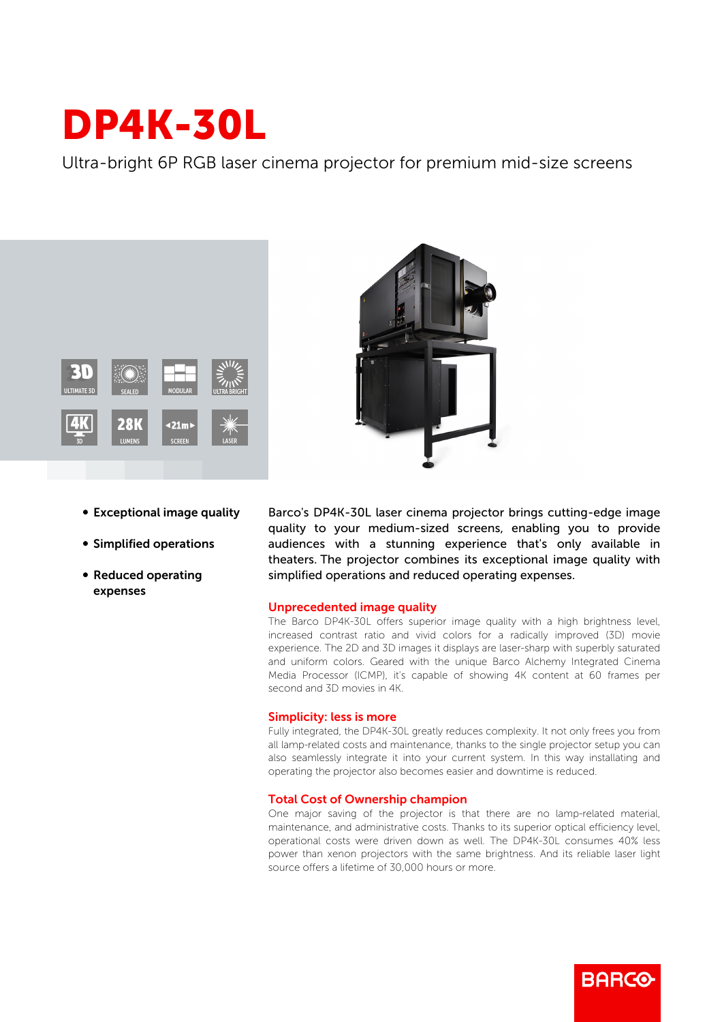# DP4K-30L

Ultra-bright 6P RGB laser cinema projector for premium mid-size screens





- Exceptional image quality
- **Simplified operations**
- Reduced operating expenses

Barco's DP4K-30L laser cinema projector brings cutting-edge image quality to your medium-sized screens, enabling you to provide audiences with a stunning experience that's only available in theaters. The projector combines its exceptional image quality with simplified operations and reduced operating expenses.

## Unprecedented image quality

The Barco DP4K-30L offers superior image quality with a high brightness level, increased contrast ratio and vivid colors for a radically improved (3D) movie experience. The 2D and 3D images it displays are laser-sharp with superbly saturated and uniform colors. Geared with the unique Barco Alchemy Integrated Cinema Media Processor (ICMP), it's capable of showing 4K content at 60 frames per second and 3D movies in 4K.

## Simplicity: less is more

Fully integrated, the DP4K-30L greatly reduces complexity. It not only frees you from all lamp-related costs and maintenance, thanks to the single projector setup you can also seamlessly integrate it into your current system. In this way installating and operating the projector also becomes easier and downtime is reduced.

## Total Cost of Ownership champion

One major saving of the projector is that there are no lamp-related material, maintenance, and administrative costs. Thanks to its superior optical efficiency level, operational costs were driven down as well. The DP4K-30L consumes 40% less power than xenon projectors with the same brightness. And its reliable laser light source offers a lifetime of 30,000 hours or more.

**BARGO**